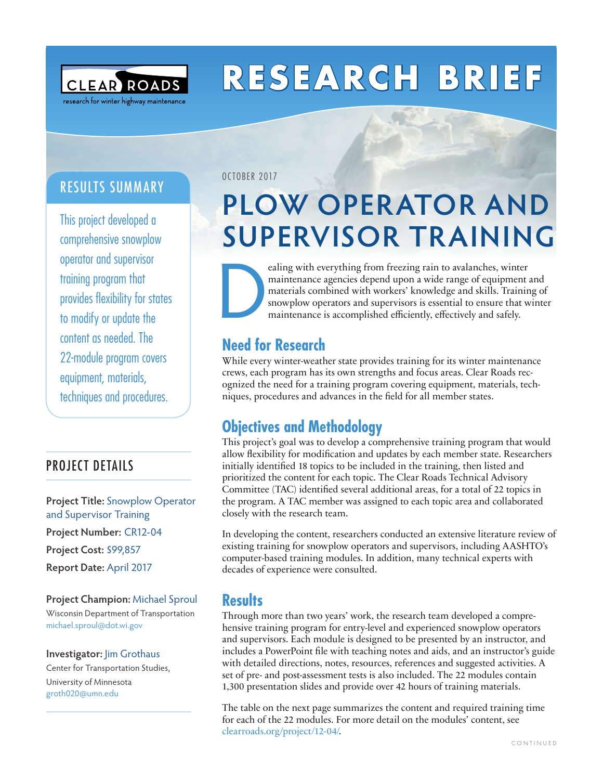

# **RESEARCH BRIEF**

### RESULTS SUMMARY

This project developed a comprehensive snowplow operator and supervisor training program that provides flexibility for states to modify or update the content as needed. The 22-module program covers equipment, materials, techniques and procedures.

### PROJECT DETAILS

**Project Title:** Snowplow Operator and Supervisor Training **Project Number:** CR12-04 **Project Cost:** \$99,857 **Report Date:** April 2017

### **Project Champion:** Michael Sproul

Wisconsin Department of Transportation [michael.sproul@dot.wi.gov](mailto:michael.sproul@dot.wi.gov)

### **Investigator:** Jim Grothaus

Center for Transportation Studies, University of Minnesota [groth020@umn.edu](mailto:groth020@umn.edu)

#### OCTOBER 2017

## **PLOW OPERATOR AND SUPERVISOR TRAINING**

ealing with everything from freezing rain to avalanches, winter<br>maintenance agencies depend upon a wide range of equipment a<br>materials combined with workers' knowledge and skills. Trainin<br>snowplow operators and supervisors maintenance agencies depend upon a wide range of equipment and materials combined with workers' knowledge and skills. Training of snowplow operators and supervisors is essential to ensure that winter maintenance is accomplished efficiently, effectively and safely.

## **Need for Research**

While every winter-weather state provides training for its winter maintenance crews, each program has its own strengths and focus areas. Clear Roads recognized the need for a training program covering equipment, materials, techniques, procedures and advances in the field for all member states.

### **Objectives and Methodology**

This project's goal was to develop a comprehensive training program that would allow flexibility for modification and updates by each member state. Researchers initially identified 18 topics to be included in the training, then listed and prioritized the content for each topic. The Clear Roads Technical Advisory Committee (TAC) identified several additional areas, for a total of 22 topics in the program. A TAC member was assigned to each topic area and collaborated closely with the research team.

In developing the content, researchers conducted an extensive literature review of existing training for snowplow operators and supervisors, including AASHTO's computer-based training modules. In addition, many technical experts with decades of experience were consulted.

### **Results**

Through more than two years' work, the research team developed a comprehensive training program for entry-level and experienced snowplow operators and supervisors. Each module is designed to be presented by an instructor, and includes a PowerPoint file with teaching notes and aids, and an instructor's guide with detailed directions, notes, resources, references and suggested activities. A set of pre- and post-assessment tests is also included. The 22 modules contain 1,300 presentation slides and provide over 42 hours of training materials.

The table on the next page summarizes the content and required training time for each of the 22 modules. For more detail on the modules' content, see [clearroads.org/project/12-04/](http://clearroads.org/project/12-04/).